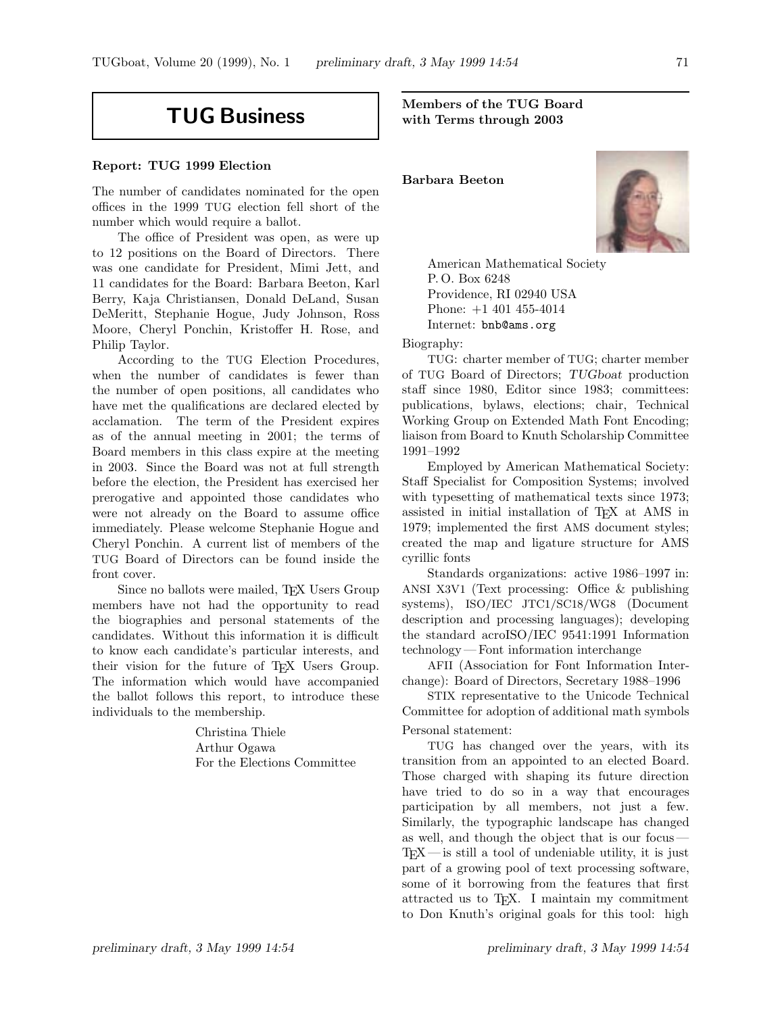# **TUG Business**

## **Report: TUG 1999 Election**

The number of candidates nominated for the open offices in the 1999 TUG election fell short of the number which would require a ballot.

The office of President was open, as were up to 12 positions on the Board of Directors. There was one candidate for President, Mimi Jett, and 11 candidates for the Board: Barbara Beeton, Karl Berry, Kaja Christiansen, Donald DeLand, Susan DeMeritt, Stephanie Hogue, Judy Johnson, Ross Moore, Cheryl Ponchin, Kristoffer H. Rose, and Philip Taylor.

According to the TUG Election Procedures, when the number of candidates is fewer than the number of open positions, all candidates who have met the qualifications are declared elected by acclamation. The term of the President expires as of the annual meeting in 2001; the terms of Board members in this class expire at the meeting in 2003. Since the Board was not at full strength before the election, the President has exercised her prerogative and appointed those candidates who were not already on the Board to assume office immediately. Please welcome Stephanie Hogue and Cheryl Ponchin. A current list of members of the TUG Board of Directors can be found inside the front cover.

Since no ballots were mailed, T<sub>EX</sub> Users Group members have not had the opportunity to read the biographies and personal statements of the candidates. Without this information it is difficult to know each candidate's particular interests, and their vision for the future of TEX Users Group. The information which would have accompanied the ballot follows this report, to introduce these individuals to the membership.

> Christina Thiele Arthur Ogawa For the Elections Committee

**Members of the TUG Board with Terms through 2003**

**Barbara Beeton**



American Mathematical Society P. O. Box 6248 Providence, RI 02940 USA Phone: +1 401 455-4014 Internet: bnb@ams.org

Biography:

TUG: charter member of TUG; charter member of TUG Board of Directors; *TUGboat* production staff since 1980, Editor since 1983; committees: publications, bylaws, elections; chair, Technical Working Group on Extended Math Font Encoding; liaison from Board to Knuth Scholarship Committee 1991–1992

Employed by American Mathematical Society: Staff Specialist for Composition Systems; involved with typesetting of mathematical texts since 1973; assisted in initial installation of TEX at AMS in 1979; implemented the first AMS document styles; created the map and ligature structure for AMS cyrillic fonts

Standards organizations: active 1986–1997 in: ANSI X3V1 (Text processing: Office & publishing systems), ISO/IEC JTC1/SC18/WG8 (Document description and processing languages); developing the standard acroISO/IEC 9541:1991 Information technology— Font information interchange

AFII (Association for Font Information Interchange): Board of Directors, Secretary 1988–1996

STIX representative to the Unicode Technical Committee for adoption of additional math symbols Personal statement:

TUG has changed over the years, with its transition from an appointed to an elected Board. Those charged with shaping its future direction have tried to do so in a way that encourages participation by all members, not just a few. Similarly, the typographic landscape has changed as well, and though the object that is our focus—  $TFX$ — is still a tool of undeniable utility, it is just part of a growing pool of text processing software, some of it borrowing from the features that first attracted us to TEX. I maintain my commitment to Don Knuth's original goals for this tool: high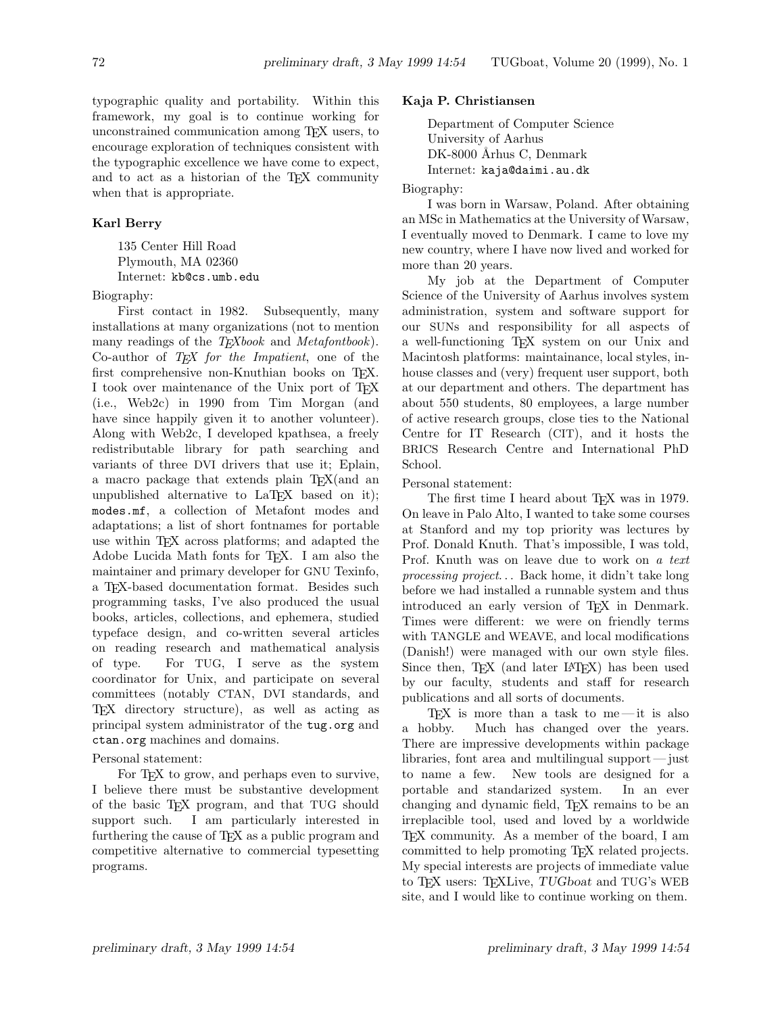typographic quality and portability. Within this framework, my goal is to continue working for unconstrained communication among TEX users, to encourage exploration of techniques consistent with the typographic excellence we have come to expect, and to act as a historian of the T<sub>EX</sub> community when that is appropriate.

## **Karl Berry**

135 Center Hill Road Plymouth, MA 02360 Internet: kb@cs.umb.edu

Biography:

First contact in 1982. Subsequently, many installations at many organizations (not to mention many readings of the *TEXbook* and *Metafontbook*). Co-author of *TEX for the Impatient*, one of the first comprehensive non-Knuthian books on TFX. I took over maintenance of the Unix port of TEX (i.e., Web2c) in 1990 from Tim Morgan (and have since happily given it to another volunteer). Along with Web2c, I developed kpathsea, a freely redistributable library for path searching and variants of three DVI drivers that use it; Eplain, a macro package that extends plain TEX(and an unpublished alternative to LaT<sub>EX</sub> based on it); modes.mf, a collection of Metafont modes and adaptations; a list of short fontnames for portable use within T<sub>EX</sub> across platforms; and adapted the Adobe Lucida Math fonts for TEX. I am also the maintainer and primary developer for GNU Texinfo, a TEX-based documentation format. Besides such programming tasks, I've also produced the usual books, articles, collections, and ephemera, studied typeface design, and co-written several articles on reading research and mathematical analysis of type. For TUG, I serve as the system coordinator for Unix, and participate on several committees (notably CTAN, DVI standards, and TEX directory structure), as well as acting as principal system administrator of the tug.org and ctan.org machines and domains.

### Personal statement:

For TEX to grow, and perhaps even to survive, I believe there must be substantive development of the basic TEX program, and that TUG should support such. I am particularly interested in furthering the cause of TEX as a public program and competitive alternative to commercial typesetting programs.

## **Kaja P. Christiansen**

Department of Computer Science University of Aarhus DK-8000 Århus C, Denmark Internet: kaja@daimi.au.dk

Biography:

I was born in Warsaw, Poland. After obtaining an MSc in Mathematics at the University of Warsaw, I eventually moved to Denmark. I came to love my new country, where I have now lived and worked for more than 20 years.

My job at the Department of Computer Science of the University of Aarhus involves system administration, system and software support for our SUNs and responsibility for all aspects of a well-functioning TEX system on our Unix and Macintosh platforms: maintainance, local styles, inhouse classes and (very) frequent user support, both at our department and others. The department has about 550 students, 80 employees, a large number of active research groups, close ties to the National Centre for IT Research (CIT), and it hosts the BRICS Research Centre and International PhD School.

Personal statement:

The first time I heard about TEX was in 1979. On leave in Palo Alto, I wanted to take some courses at Stanford and my top priority was lectures by Prof. Donald Knuth. That's impossible, I was told, Prof. Knuth was on leave due to work on *a text processing project*... Back home, it didn't take long before we had installed a runnable system and thus introduced an early version of TEX in Denmark. Times were different: we were on friendly terms with TANGLE and WEAVE, and local modifications (Danish!) were managed with our own style files. Since then, T<sub>E</sub>X (and later LAT<sub>EX</sub>) has been used by our faculty, students and staff for research publications and all sorts of documents.

TEX is more than a task to me—it is also a hobby. Much has changed over the years. There are impressive developments within package libraries, font area and multilingual support— just to name a few. New tools are designed for a portable and standarized system. In an ever changing and dynamic field, TEX remains to be an irreplacible tool, used and loved by a worldwide TEX community. As a member of the board, I am committed to help promoting TEX related projects. My special interests are projects of immediate value to TEX users: TEXLive, *TUGboat* and TUG's WEB site, and I would like to continue working on them.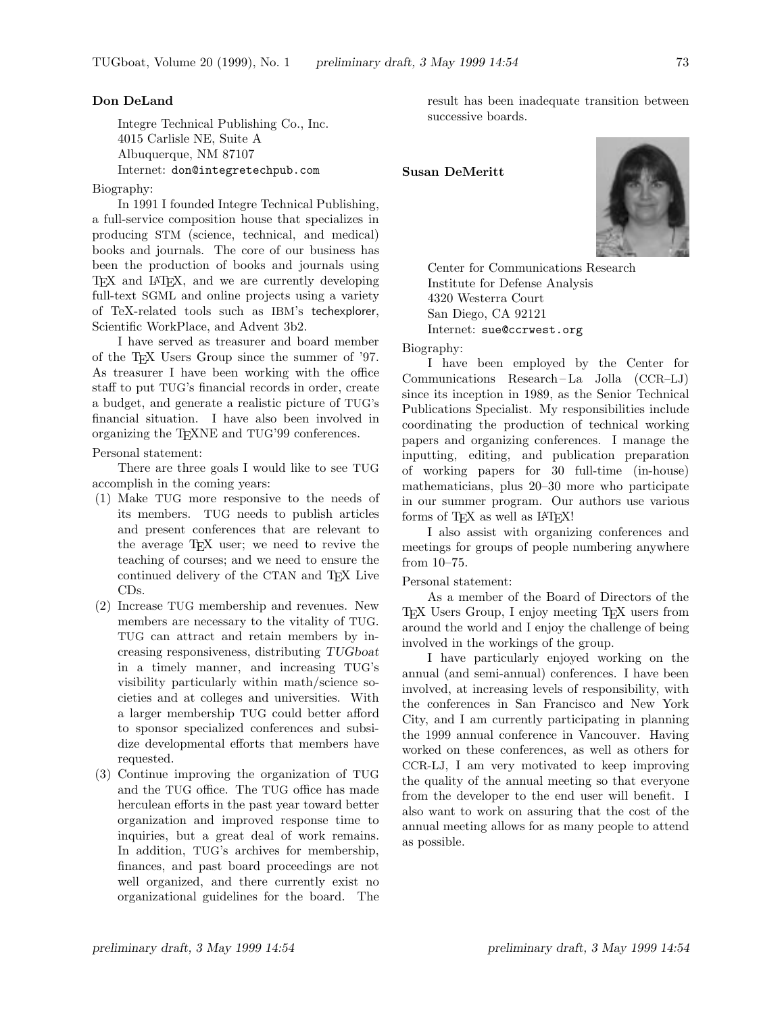#### **Don DeLand**

Integre Technical Publishing Co., Inc. 4015 Carlisle NE, Suite A Albuquerque, NM 87107 Internet: don@integretechpub.com

Biography:

In 1991 I founded Integre Technical Publishing, a full-service composition house that specializes in producing STM (science, technical, and medical) books and journals. The core of our business has been the production of books and journals using TEX and LATEX, and we are currently developing full-text SGML and online projects using a variety of TeX-related tools such as IBM's techexplorer, Scientific WorkPlace, and Advent 3b2.

I have served as treasurer and board member of the TEX Users Group since the summer of '97. As treasurer I have been working with the office staff to put TUG's financial records in order, create a budget, and generate a realistic picture of TUG's financial situation. I have also been involved in organizing the TEXNE and TUG'99 conferences.

Personal statement:

There are three goals I would like to see TUG accomplish in the coming years:

- (1) Make TUG more responsive to the needs of its members. TUG needs to publish articles and present conferences that are relevant to the average TEX user; we need to revive the teaching of courses; and we need to ensure the continued delivery of the CTAN and TEX Live CDs.
- (2) Increase TUG membership and revenues. New members are necessary to the vitality of TUG. TUG can attract and retain members by increasing responsiveness, distributing *TUGboat* in a timely manner, and increasing TUG's visibility particularly within math/science societies and at colleges and universities. With a larger membership TUG could better afford to sponsor specialized conferences and subsidize developmental efforts that members have requested.
- (3) Continue improving the organization of TUG and the TUG office. The TUG office has made herculean efforts in the past year toward better organization and improved response time to inquiries, but a great deal of work remains. In addition, TUG's archives for membership, finances, and past board proceedings are not well organized, and there currently exist no organizational guidelines for the board. The

result has been inadequate transition between successive boards.

## **Susan DeMeritt**



Center for Communications Research Institute for Defense Analysis 4320 Westerra Court San Diego, CA 92121 Internet: sue@ccrwest.org

Biography:

I have been employed by the Center for Communications Research – La Jolla (CCR–LJ) since its inception in 1989, as the Senior Technical Publications Specialist. My responsibilities include coordinating the production of technical working papers and organizing conferences. I manage the inputting, editing, and publication preparation of working papers for 30 full-time (in-house) mathematicians, plus 20–30 more who participate in our summer program. Our authors use various forms of TFX as well as IATFX!

I also assist with organizing conferences and meetings for groups of people numbering anywhere from 10–75.

#### Personal statement:

As a member of the Board of Directors of the TEX Users Group, I enjoy meeting TEX users from around the world and I enjoy the challenge of being involved in the workings of the group.

I have particularly enjoyed working on the annual (and semi-annual) conferences. I have been involved, at increasing levels of responsibility, with the conferences in San Francisco and New York City, and I am currently participating in planning the 1999 annual conference in Vancouver. Having worked on these conferences, as well as others for CCR-LJ, I am very motivated to keep improving the quality of the annual meeting so that everyone from the developer to the end user will benefit. I also want to work on assuring that the cost of the annual meeting allows for as many people to attend as possible.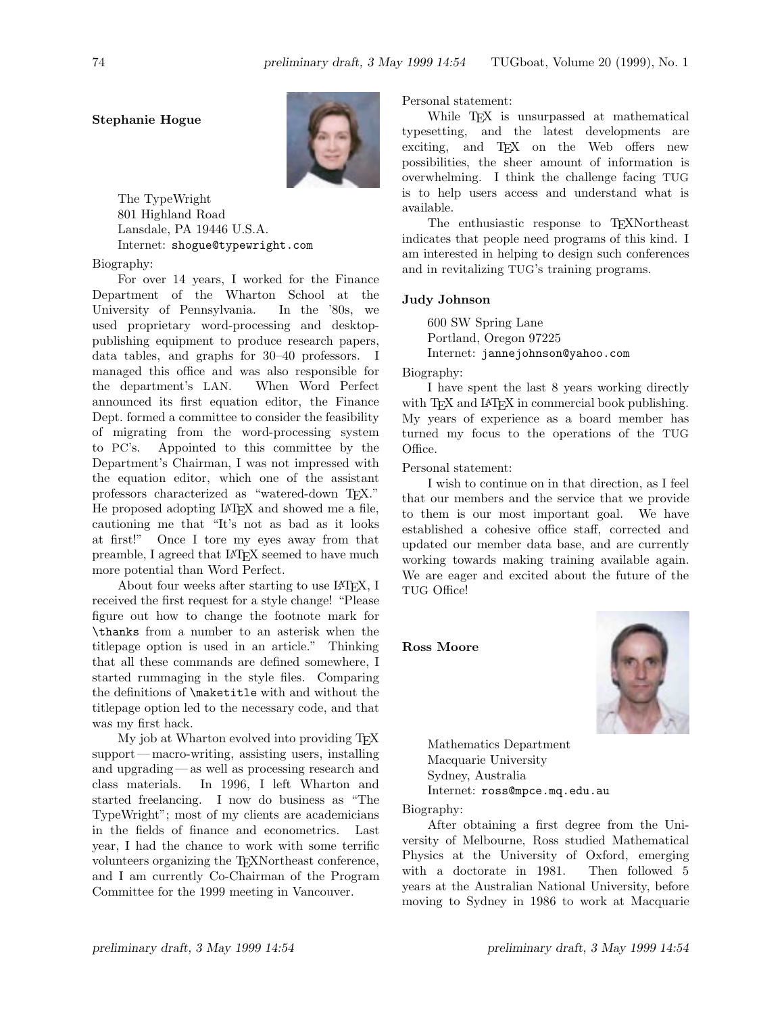# **Stephanie Hogue**



The TypeWright 801 Highland Road Lansdale, PA 19446 U.S.A. Internet: shogue@typewright.com

### Biography:

For over 14 years, I worked for the Finance Department of the Wharton School at the University of Pennsylvania. In the '80s, we used proprietary word-processing and desktoppublishing equipment to produce research papers, data tables, and graphs for 30–40 professors. I managed this office and was also responsible for the department's LAN. When Word Perfect announced its first equation editor, the Finance Dept. formed a committee to consider the feasibility of migrating from the word-processing system to PC's. Appointed to this committee by the Department's Chairman, I was not impressed with the equation editor, which one of the assistant professors characterized as "watered-down TFX." He proposed adopting LATEX and showed me a file, cautioning me that "It's not as bad as it looks at first!" Once I tore my eyes away from that preamble, I agreed that LAT<sub>E</sub>X seemed to have much more potential than Word Perfect.

About four weeks after starting to use LAT<sub>F</sub>X, I received the first request for a style change! "Please figure out how to change the footnote mark for \thanks from a number to an asterisk when the titlepage option is used in an article." Thinking that all these commands are defined somewhere, I started rummaging in the style files. Comparing the definitions of \maketitle with and without the titlepage option led to the necessary code, and that was my first hack.

My job at Wharton evolved into providing TEX support— macro-writing, assisting users, installing and upgrading— as well as processing research and class materials. In 1996, I left Wharton and started freelancing. I now do business as "The TypeWright"; most of my clients are academicians in the fields of finance and econometrics. Last year, I had the chance to work with some terrific volunteers organizing the TEXNortheast conference, and I am currently Co-Chairman of the Program Committee for the 1999 meeting in Vancouver.

Personal statement:

While T<sub>E</sub>X is unsurpassed at mathematical typesetting, and the latest developments are exciting, and TEX on the Web offers new possibilities, the sheer amount of information is overwhelming. I think the challenge facing TUG is to help users access and understand what is available.

The enthusiastic response to T<sub>EXN</sub>ortheast indicates that people need programs of this kind. I am interested in helping to design such conferences and in revitalizing TUG's training programs.

### **Judy Johnson**

600 SW Spring Lane Portland, Oregon 97225 Internet: jannejohnson@yahoo.com

Biography:

I have spent the last 8 years working directly with T<sub>F</sub>X and L<sup>A</sup>T<sub>F</sub>X in commercial book publishing. My years of experience as a board member has turned my focus to the operations of the TUG Office.

Personal statement:

I wish to continue on in that direction, as I feel that our members and the service that we provide to them is our most important goal. We have established a cohesive office staff, corrected and updated our member data base, and are currently working towards making training available again. We are eager and excited about the future of the TUG Office!

**Ross Moore**



Mathematics Department Macquarie University Sydney, Australia Internet: ross@mpce.mq.edu.au

Biography:

After obtaining a first degree from the University of Melbourne, Ross studied Mathematical Physics at the University of Oxford, emerging with a doctorate in 1981. Then followed 5 years at the Australian National University, before moving to Sydney in 1986 to work at Macquarie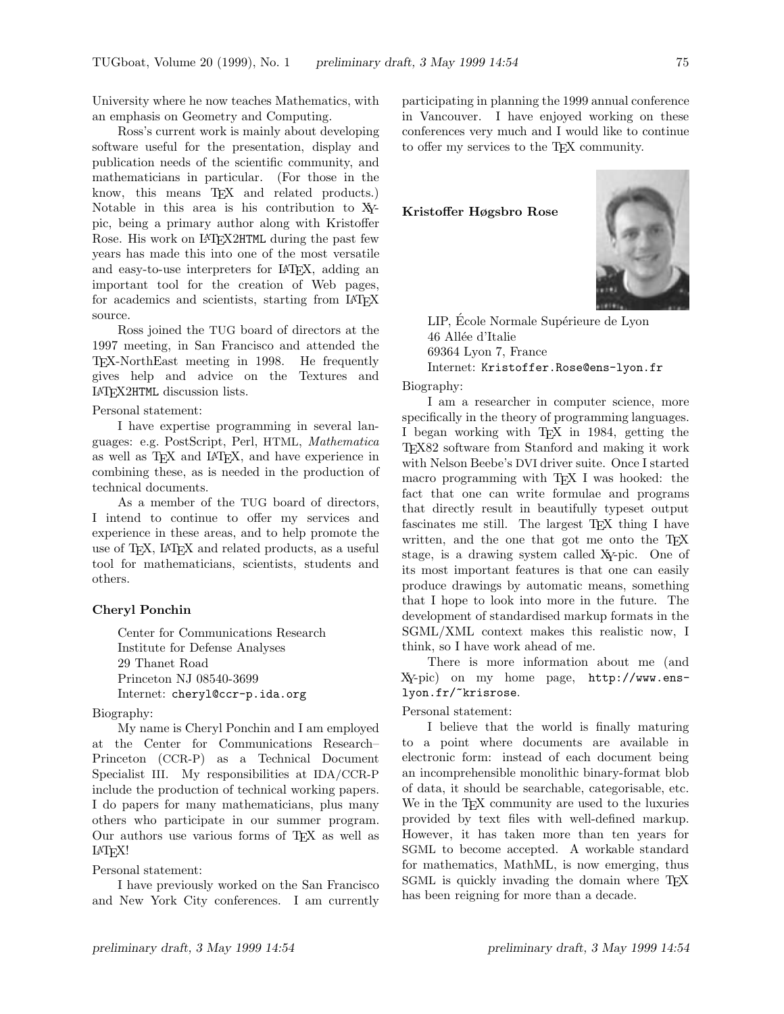University where he now teaches Mathematics, with an emphasis on Geometry and Computing.

Ross's current work is mainly about developing software useful for the presentation, display and publication needs of the scientific community, and mathematicians in particular. (For those in the know, this means T<sub>EX</sub> and related products.) Notable in this area is his contribution to XYpic, being a primary author along with Kristoffer Rose. His work on LAT<sub>F</sub>X2HTML during the past few years has made this into one of the most versatile and easy-to-use interpreters for LATEX, adding an important tool for the creation of Web pages, for academics and scientists, starting from LAT<sub>EX</sub> source.

Ross joined the TUG board of directors at the 1997 meeting, in San Francisco and attended the TEX-NorthEast meeting in 1998. He frequently gives help and advice on the Textures and LATEX2HTML discussion lists.

#### Personal statement:

I have expertise programming in several languages: e.g. PostScript, Perl, HTML, *Mathematica* as well as TEX and LATEX, and have experience in combining these, as is needed in the production of technical documents.

As a member of the TUG board of directors, I intend to continue to offer my services and experience in these areas, and to help promote the use of TEX, LATEX and related products, as a useful tool for mathematicians, scientists, students and others.

# **Cheryl Ponchin**

Center for Communications Research Institute for Defense Analyses 29 Thanet Road Princeton NJ 08540-3699 Internet: cheryl@ccr-p.ida.org

Biography:

My name is Cheryl Ponchin and I am employed at the Center for Communications Research– Princeton (CCR-P) as a Technical Document Specialist III. My responsibilities at IDA/CCR-P include the production of technical working papers. I do papers for many mathematicians, plus many others who participate in our summer program. Our authors use various forms of TEX as well as LATEX!

Personal statement:

I have previously worked on the San Francisco and New York City conferences. I am currently participating in planning the 1999 annual conference in Vancouver. I have enjoyed working on these conferences very much and I would like to continue to offer my services to the TEX community.

## **Kristoffer Høgsbro Rose**



LIP, École Normale Supérieure de Lyon 46 Allée d'Italie 69364 Lyon 7, France Internet: Kristoffer.Rose@ens-lyon.fr

Biography:

I am a researcher in computer science, more specifically in the theory of programming languages. I began working with TEX in 1984, getting the TEX82 software from Stanford and making it work with Nelson Beebe's DVI driver suite. Once I started macro programming with TFX I was hooked: the fact that one can write formulae and programs that directly result in beautifully typeset output fascinates me still. The largest T<sub>EX</sub> thing I have written, and the one that got me onto the T<sub>E</sub>X stage, is a drawing system called XY-pic. One of its most important features is that one can easily produce drawings by automatic means, something that I hope to look into more in the future. The development of standardised markup formats in the SGML/XML context makes this realistic now, I think, so I have work ahead of me.

There is more information about me (and XY-pic) on my home page, http://www.enslyon.fr/~krisrose.

#### Personal statement:

I believe that the world is finally maturing to a point where documents are available in electronic form: instead of each document being an incomprehensible monolithic binary-format blob of data, it should be searchable, categorisable, etc. We in the T<sub>E</sub>X community are used to the luxuries provided by text files with well-defined markup. However, it has taken more than ten years for SGML to become accepted. A workable standard for mathematics, MathML, is now emerging, thus SGML is quickly invading the domain where TEX has been reigning for more than a decade.